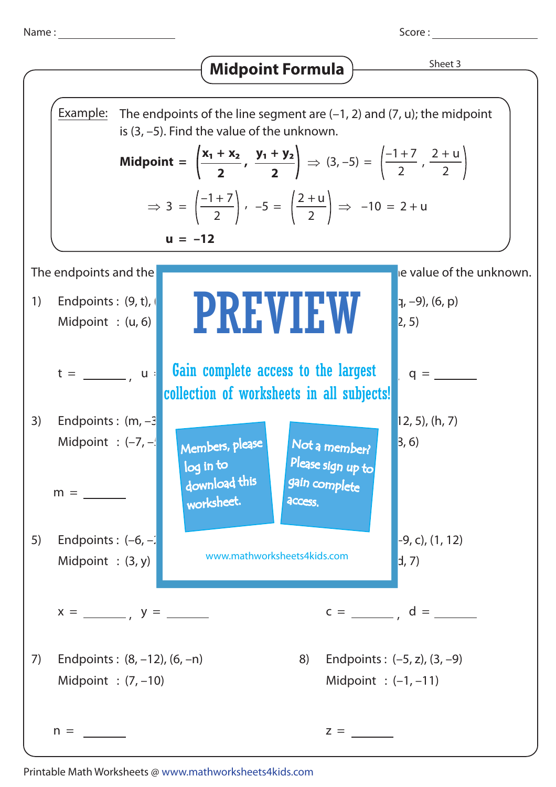